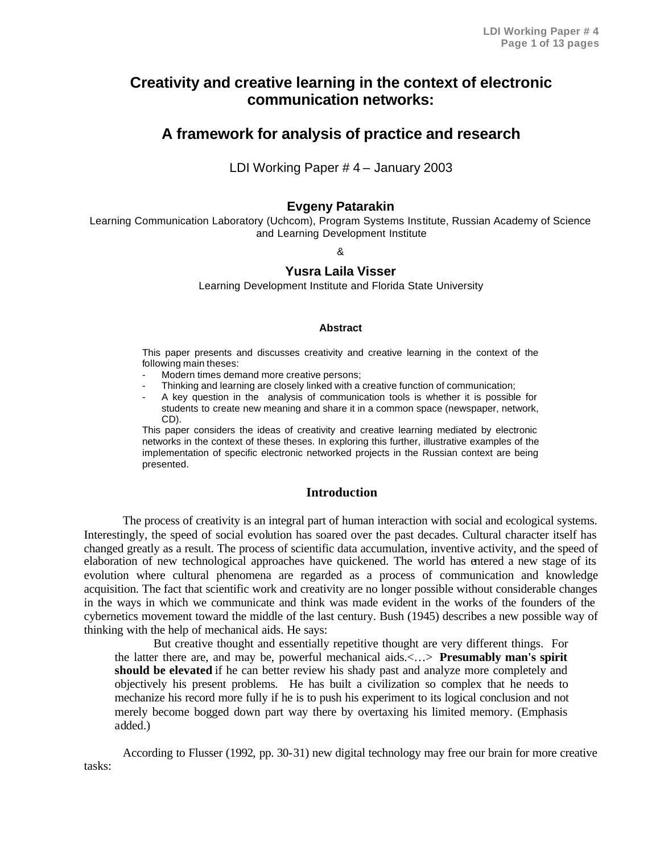# **Creativity and creative learning in the context of electronic communication networks:**

# **A framework for analysis of practice and research**

LDI Working Paper # 4 – January 2003

## **Evgeny Patarakin**

Learning Communication Laboratory (Uchcom), Program Systems Institute, Russian Academy of Science and Learning Development Institute

&

## **Yusra Laila Visser**

Learning Development Institute and Florida State University

#### **Abstract**

This paper presents and discusses creativity and creative learning in the context of the following main theses:

- Modern times demand more creative persons;
- Thinking and learning are closely linked with a creative function of communication;
- A key question in the analysis of communication tools is whether it is possible for students to create new meaning and share it in a common space (newspaper, network, CD).

This paper considers the ideas of creativity and creative learning mediated by electronic networks in the context of these theses. In exploring this further, illustrative examples of the implementation of specific electronic networked projects in the Russian context are being presented.

## **Introduction**

The process of creativity is an integral part of human interaction with social and ecological systems. Interestingly, the speed of social evolution has soared over the past decades. Cultural character itself has changed greatly as a result. The process of scientific data accumulation, inventive activity, and the speed of elaboration of new technological approaches have quickened. The world has entered a new stage of its evolution where cultural phenomena are regarded as a process of communication and knowledge acquisition. The fact that scientific work and creativity are no longer possible without considerable changes in the ways in which we communicate and think was made evident in the works of the founders of the cybernetics movement toward the middle of the last century. Bush (1945) describes a new possible way of thinking with the help of mechanical aids. He says:

But creative thought and essentially repetitive thought are very different things. For the latter there are, and may be, powerful mechanical aids.<…> **Presumably man's spirit should be elevated** if he can better review his shady past and analyze more completely and objectively his present problems. He has built a civilization so complex that he needs to mechanize his record more fully if he is to push his experiment to its logical conclusion and not merely become bogged down part way there by overtaxing his limited memory. (Emphasis added.)

According to Flusser (1992, pp. 30-31) new digital technology may free our brain for more creative tasks: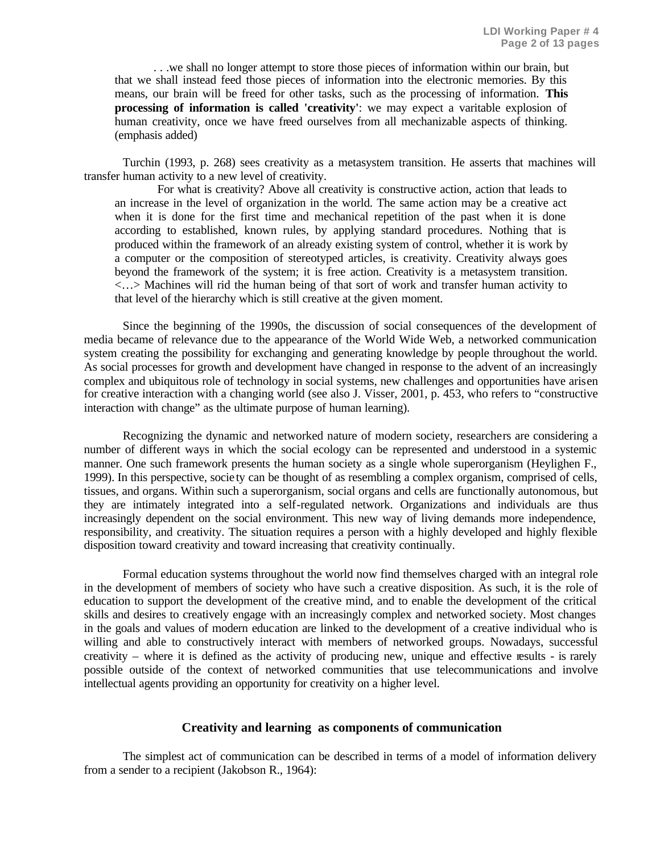. . .we shall no longer attempt to store those pieces of information within our brain, but that we shall instead feed those pieces of information into the electronic memories. By this means, our brain will be freed for other tasks, such as the processing of information. **This processing of information is called 'creativity'**: we may expect a varitable explosion of human creativity, once we have freed ourselves from all mechanizable aspects of thinking. (emphasis added)

Turchin (1993, p. 268) sees creativity as a metasystem transition. He asserts that machines will transfer human activity to a new level of creativity.

 For what is creativity? Above all creativity is constructive action, action that leads to an increase in the level of organization in the world. The same action may be a creative act when it is done for the first time and mechanical repetition of the past when it is done according to established, known rules, by applying standard procedures. Nothing that is produced within the framework of an already existing system of control, whether it is work by a computer or the composition of stereotyped articles, is creativity. Creativity always goes beyond the framework of the system; it is free action. Creativity is a metasystem transition. <…> Machines will rid the human being of that sort of work and transfer human activity to that level of the hierarchy which is still creative at the given moment.

Since the beginning of the 1990s, the discussion of social consequences of the development of media became of relevance due to the appearance of the World Wide Web, a networked communication system creating the possibility for exchanging and generating knowledge by people throughout the world. As social processes for growth and development have changed in response to the advent of an increasingly complex and ubiquitous role of technology in social systems, new challenges and opportunities have arisen for creative interaction with a changing world (see also J. Visser, 2001, p. 453, who refers to "constructive interaction with change" as the ultimate purpose of human learning).

Recognizing the dynamic and networked nature of modern society, researchers are considering a number of different ways in which the social ecology can be represented and understood in a systemic manner. One such framework presents the human society as a single whole superorganism (Heylighen F., 1999). In this perspective, socie ty can be thought of as resembling a complex organism, comprised of cells, tissues, and organs. Within such a superorganism, social organs and cells are functionally autonomous, but they are intimately integrated into a self-regulated network. Organizations and individuals are thus increasingly dependent on the social environment. This new way of living demands more independence, responsibility, and creativity. The situation requires a person with a highly developed and highly flexible disposition toward creativity and toward increasing that creativity continually.

Formal education systems throughout the world now find themselves charged with an integral role in the development of members of society who have such a creative disposition. As such, it is the role of education to support the development of the creative mind, and to enable the development of the critical skills and desires to creatively engage with an increasingly complex and networked society. Most changes in the goals and values of modern education are linked to the development of a creative individual who is willing and able to constructively interact with members of networked groups. Nowadays, successful creativity – where it is defined as the activity of producing new, unique and effective results - is rarely possible outside of the context of networked communities that use telecommunications and involve intellectual agents providing an opportunity for creativity on a higher level.

#### **Creativity and learning as components of communication**

The simplest act of communication can be described in terms of a model of information delivery from a sender to a recipient (Jakobson R., 1964):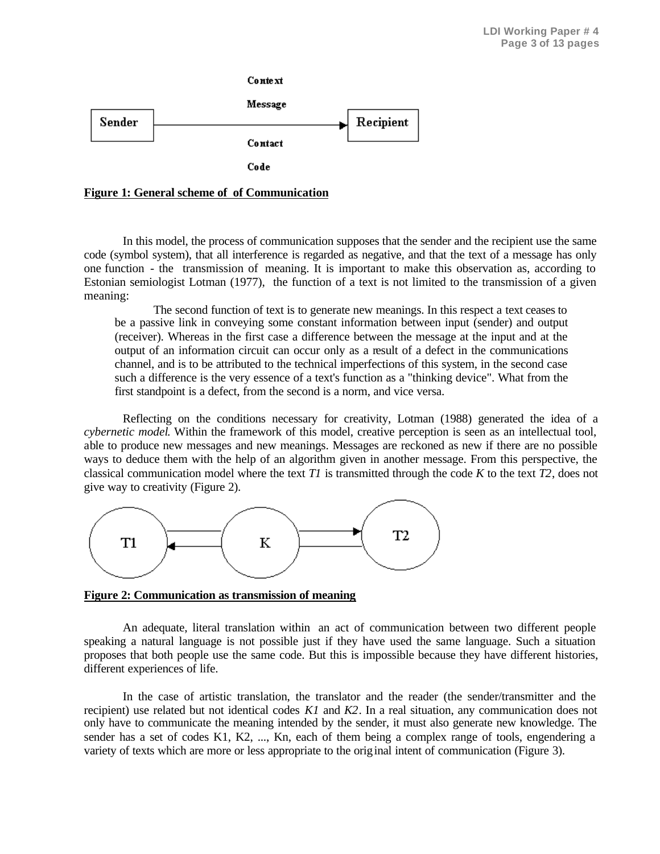



In this model, the process of communication supposes that the sender and the recipient use the same code (symbol system), that all interference is regarded as negative, and that the text of a message has only one function - the transmission of meaning. It is important to make this observation as, according to Estonian semiologist Lotman (1977), the function of a text is not limited to the transmission of a given meaning:

The second function of text is to generate new meanings. In this respect a text ceases to be a passive link in conveying some constant information between input (sender) and output (receiver). Whereas in the first case a difference between the message at the input and at the output of an information circuit can occur only as a result of a defect in the communications channel, and is to be attributed to the technical imperfections of this system, in the second case such a difference is the very essence of a text's function as a "thinking device". What from the first standpoint is a defect, from the second is a norm, and vice versa.

Reflecting on the conditions necessary for creativity, Lotman (1988) generated the idea of a *cybernetic model*. Within the framework of this model, creative perception is seen as an intellectual tool, able to produce new messages and new meanings. Messages are reckoned as new if there are no possible ways to deduce them with the help of an algorithm given in another message. From this perspective, the classical communication model where the text *T1* is transmitted through the code *K* to the text *T2*, does not give way to creativity (Figure 2).



**Figure 2: Communication as transmission of meaning**

An adequate, literal translation within an act of communication between two different people speaking a natural language is not possible just if they have used the same language. Such a situation proposes that both people use the same code. But this is impossible because they have different histories, different experiences of life.

In the case of artistic translation, the translator and the reader (the sender/transmitter and the recipient) use related but not identical codes *K1* and *K2*. In a real situation, any communication does not only have to communicate the meaning intended by the sender, it must also generate new knowledge. The sender has a set of codes K1, K2, ..., Kn, each of them being a complex range of tools, engendering a variety of texts which are more or less appropriate to the original intent of communication (Figure 3).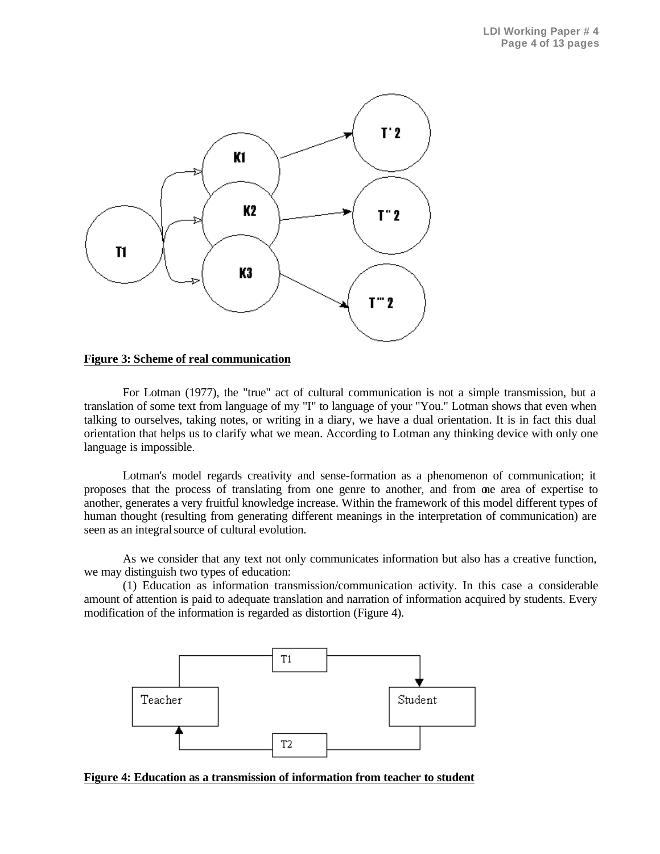

#### **Figure 3: Scheme of real communication**

For Lotman (1977), the "true" act of cultural communication is not a simple transmission, but a translation of some text from language of my "I" to language of your "You." Lotman shows that even when talking to ourselves, taking notes, or writing in a diary, we have a dual orientation. It is in fact this dual orientation that helps us to clarify what we mean. According to Lotman any thinking device with only one language is impossible.

Lotman's model regards creativity and sense-formation as a phenomenon of communication; it proposes that the process of translating from one genre to another, and from one area of expertise to another, generates a very fruitful knowledge increase. Within the framework of this model different types of human thought (resulting from generating different meanings in the interpretation of communication) are seen as an integral source of cultural evolution.

As we consider that any text not only communicates information but also has a creative function, we may distinguish two types of education:

(1) Education as information transmission/communication activity. In this case a considerable amount of attention is paid to adequate translation and narration of information acquired by students. Every modification of the information is regarded as distortion (Figure 4).



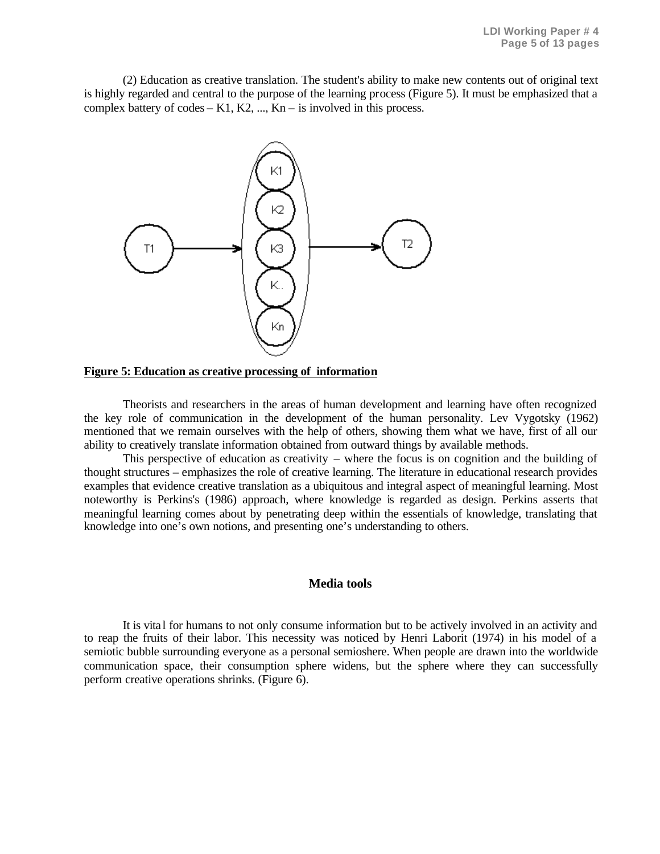(2) Education as creative translation. The student's ability to make new contents out of original text is highly regarded and central to the purpose of the learning process (Figure 5). It must be emphasized that a complex battery of codes  $-$  K1, K2, ..., Kn  $-$  is involved in this process.



#### **Figure 5: Education as creative processing of information**

Theorists and researchers in the areas of human development and learning have often recognized the key role of communication in the development of the human personality. Lev Vygotsky (1962) mentioned that we remain ourselves with the help of others, showing them what we have, first of all our ability to creatively translate information obtained from outward things by available methods.

This perspective of education as creativity – where the focus is on cognition and the building of thought structures – emphasizes the role of creative learning. The literature in educational research provides examples that evidence creative translation as a ubiquitous and integral aspect of meaningful learning. Most noteworthy is Perkins's (1986) approach, where knowledge is regarded as design. Perkins asserts that meaningful learning comes about by penetrating deep within the essentials of knowledge, translating that knowledge into one's own notions, and presenting one's understanding to others.

#### **Media tools**

It is vita l for humans to not only consume information but to be actively involved in an activity and to reap the fruits of their labor. This necessity was noticed by Henri Laborit (1974) in his model of a semiotic bubble surrounding everyone as a personal semioshere. When people are drawn into the worldwide communication space, their consumption sphere widens, but the sphere where they can successfully perform creative operations shrinks. (Figure 6).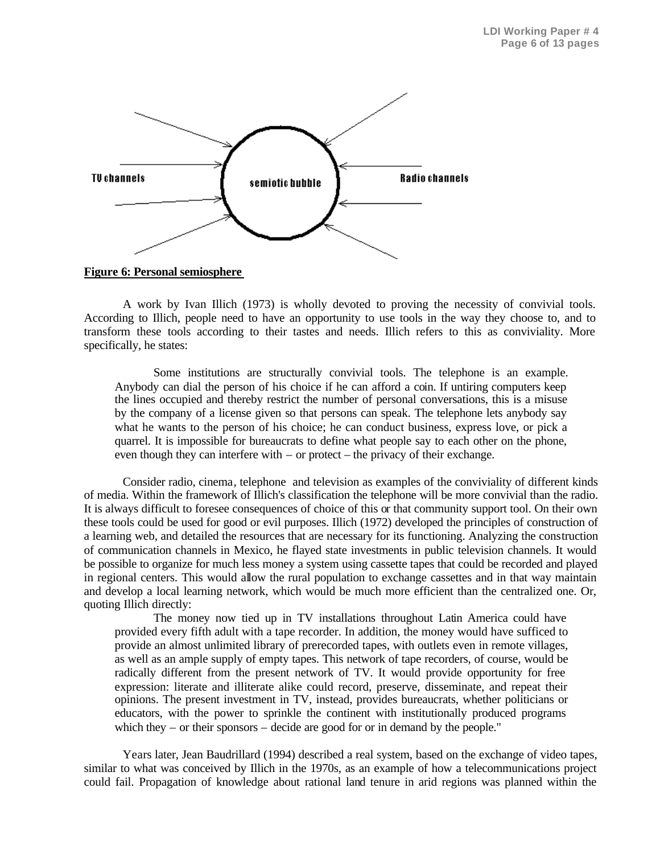

**Figure 6: Personal semiosphere**

A work by Ivan Illich (1973) is wholly devoted to proving the necessity of convivial tools. According to Illich, people need to have an opportunity to use tools in the way they choose to, and to transform these tools according to their tastes and needs. Illich refers to this as conviviality. More specifically, he states:

Some institutions are structurally convivial tools. The telephone is an example. Anybody can dial the person of his choice if he can afford a coin. If untiring computers keep the lines occupied and thereby restrict the number of personal conversations, this is a misuse by the company of a license given so that persons can speak. The telephone lets anybody say what he wants to the person of his choice; he can conduct business, express love, or pick a quarrel. It is impossible for bureaucrats to define what people say to each other on the phone, even though they can interfere with – or protect – the privacy of their exchange.

Consider radio, cinema, telephone and television as examples of the conviviality of different kinds of media. Within the framework of Illich's classification the telephone will be more convivial than the radio. It is always difficult to foresee consequences of choice of this or that community support tool. On their own these tools could be used for good or evil purposes. Illich (1972) developed the principles of construction of a learning web, and detailed the resources that are necessary for its functioning. Analyzing the construction of communication channels in Mexico, he flayed state investments in public television channels. It would be possible to organize for much less money a system using cassette tapes that could be recorded and played in regional centers. This would allow the rural population to exchange cassettes and in that way maintain and develop a local learning network, which would be much more efficient than the centralized one. Or, quoting Illich directly:

The money now tied up in TV installations throughout Latin America could have provided every fifth adult with a tape recorder. In addition, the money would have sufficed to provide an almost unlimited library of prerecorded tapes, with outlets even in remote villages, as well as an ample supply of empty tapes. This network of tape recorders, of course, would be radically different from the present network of TV. It would provide opportunity for free expression: literate and illiterate alike could record, preserve, disseminate, and repeat their opinions. The present investment in TV, instead, provides bureaucrats, whether politicians or educators, with the power to sprinkle the continent with institutionally produced programs which they – or their sponsors – decide are good for or in demand by the people."

Years later, Jean Baudrillard (1994) described a real system, based on the exchange of video tapes, similar to what was conceived by Illich in the 1970s, as an example of how a telecommunications project could fail. Propagation of knowledge about rational land tenure in arid regions was planned within the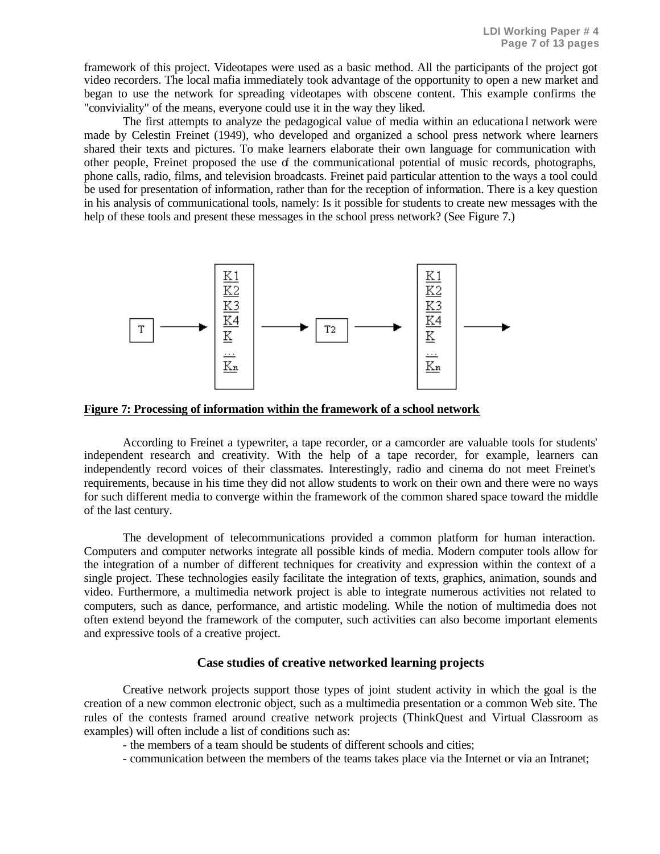framework of this project. Videotapes were used as a basic method. All the participants of the project got video recorders. The local mafia immediately took advantage of the opportunity to open a new market and began to use the network for spreading videotapes with obscene content. This example confirms the "conviviality" of the means, everyone could use it in the way they liked.

The first attempts to analyze the pedagogical value of media within an educationa l network were made by Celestin Freinet (1949), who developed and organized a school press network where learners shared their texts and pictures. To make learners elaborate their own language for communication with other people, Freinet proposed the use of the communicational potential of music records, photographs, phone calls, radio, films, and television broadcasts. Freinet paid particular attention to the ways a tool could be used for presentation of information, rather than for the reception of information. There is a key question in his analysis of communicational tools, namely: Is it possible for students to create new messages with the help of these tools and present these messages in the school press network? (See Figure 7.)



**Figure 7: Processing of information within the framework of a school network**

According to Freinet a typewriter, a tape recorder, or a camcorder are valuable tools for students' independent research and creativity. With the help of a tape recorder, for example, learners can independently record voices of their classmates. Interestingly, radio and cinema do not meet Freinet's requirements, because in his time they did not allow students to work on their own and there were no ways for such different media to converge within the framework of the common shared space toward the middle of the last century.

The development of telecommunications provided a common platform for human interaction. Computers and computer networks integrate all possible kinds of media. Modern computer tools allow for the integration of a number of different techniques for creativity and expression within the context of a single project. These technologies easily facilitate the integration of texts, graphics, animation, sounds and video. Furthermore, a multimedia network project is able to integrate numerous activities not related to computers, such as dance, performance, and artistic modeling. While the notion of multimedia does not often extend beyond the framework of the computer, such activities can also become important elements and expressive tools of a creative project.

#### **Case studies of creative networked learning projects**

Creative network projects support those types of joint student activity in which the goal is the creation of a new common electronic object, such as a multimedia presentation or a common Web site. The rules of the contests framed around creative network projects (ThinkQuest and Virtual Classroom as examples) will often include a list of conditions such as:

- the members of a team should be students of different schools and cities;

- communication between the members of the teams takes place via the Internet or via an Intranet;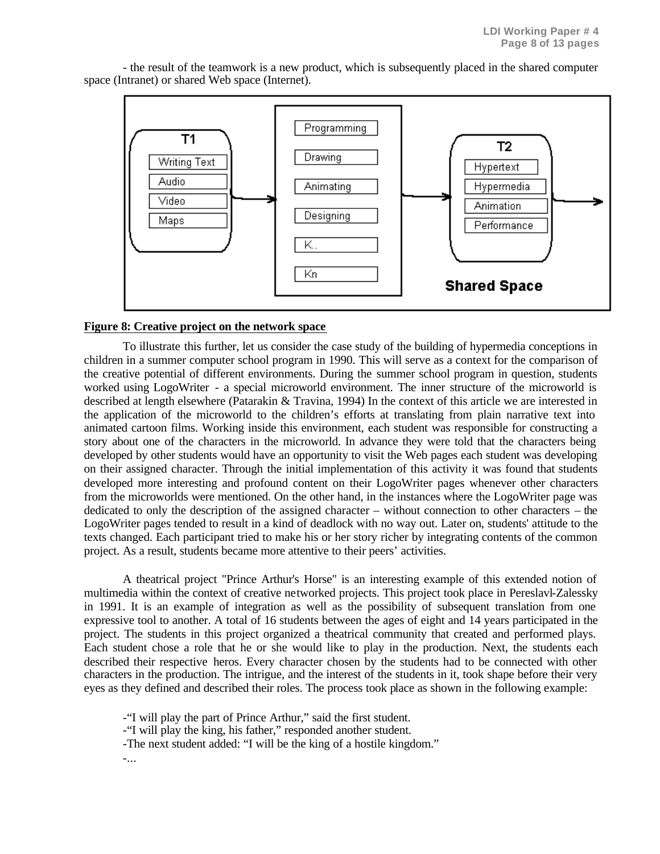

- the result of the teamwork is a new product, which is subsequently placed in the shared computer space (Intranet) or shared Web space (Internet).

#### **Figure 8: Creative project on the network space**

To illustrate this further, let us consider the case study of the building of hypermedia conceptions in children in a summer computer school program in 1990. This will serve as a context for the comparison of the creative potential of different environments. During the summer school program in question, students worked using LogoWriter - a special microworld environment. The inner structure of the microworld is described at length elsewhere (Patarakin & Travina, 1994) In the context of this article we are interested in the application of the microworld to the children's efforts at translating from plain narrative text into animated cartoon films. Working inside this environment, each student was responsible for constructing a story about one of the characters in the microworld. In advance they were told that the characters being developed by other students would have an opportunity to visit the Web pages each student was developing on their assigned character. Through the initial implementation of this activity it was found that students developed more interesting and profound content on their LogoWriter pages whenever other characters from the microworlds were mentioned. On the other hand, in the instances where the LogoWriter page was dedicated to only the description of the assigned character – without connection to other characters – the LogoWriter pages tended to result in a kind of deadlock with no way out. Later on, students' attitude to the texts changed. Each participant tried to make his or her story richer by integrating contents of the common project. As a result, students became more attentive to their peers' activities.

A theatrical project "Prince Arthur's Horse" is an interesting example of this extended notion of multimedia within the context of creative networked projects. This project took place in Pereslavl-Zalessky in 1991. It is an example of integration as well as the possibility of subsequent translation from one expressive tool to another. A total of 16 students between the ages of eight and 14 years participated in the project. The students in this project organized a theatrical community that created and performed plays. Each student chose a role that he or she would like to play in the production. Next, the students each described their respective heros. Every character chosen by the students had to be connected with other characters in the production. The intrigue, and the interest of the students in it, took shape before their very eyes as they defined and described their roles. The process took place as shown in the following example:

-"I will play the part of Prince Arthur," said the first student.

-"I will play the king, his father," responded another student.

-The next student added: "I will be the king of a hostile kingdom."

-...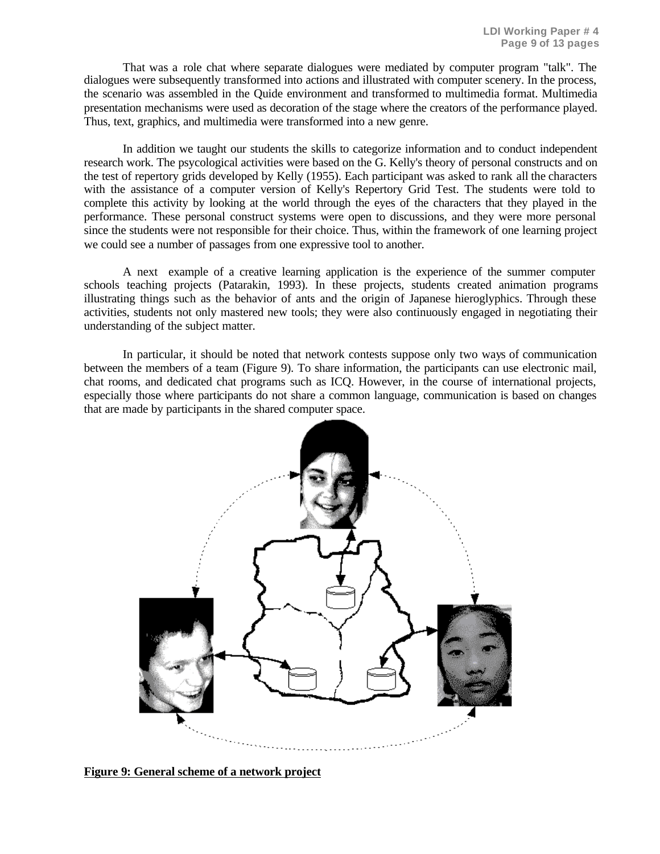That was a role chat where separate dialogues were mediated by computer program "talk". The dialogues were subsequently transformed into actions and illustrated with computer scenery. In the process, the scenario was assembled in the Quide environment and transformed to multimedia format. Multimedia presentation mechanisms were used as decoration of the stage where the creators of the performance played. Thus, text, graphics, and multimedia were transformed into a new genre.

In addition we taught our students the skills to categorize information and to conduct independent research work. The psycological activities were based on the G. Kelly's theory of personal constructs and on the test of repertory grids developed by Kelly (1955). Each participant was asked to rank all the characters with the assistance of a computer version of Kelly's Repertory Grid Test. The students were told to complete this activity by looking at the world through the eyes of the characters that they played in the performance. These personal construct systems were open to discussions, and they were more personal since the students were not responsible for their choice. Thus, within the framework of one learning project we could see a number of passages from one expressive tool to another.

A next example of a creative learning application is the experience of the summer computer schools teaching projects (Patarakin, 1993). In these projects, students created animation programs illustrating things such as the behavior of ants and the origin of Japanese hieroglyphics. Through these activities, students not only mastered new tools; they were also continuously engaged in negotiating their understanding of the subject matter.

In particular, it should be noted that network contests suppose only two ways of communication between the members of a team (Figure 9). To share information, the participants can use electronic mail, chat rooms, and dedicated chat programs such as ICQ. However, in the course of international projects, especially those where participants do not share a common language, communication is based on changes that are made by participants in the shared computer space.



**Figure 9: General scheme of a network project**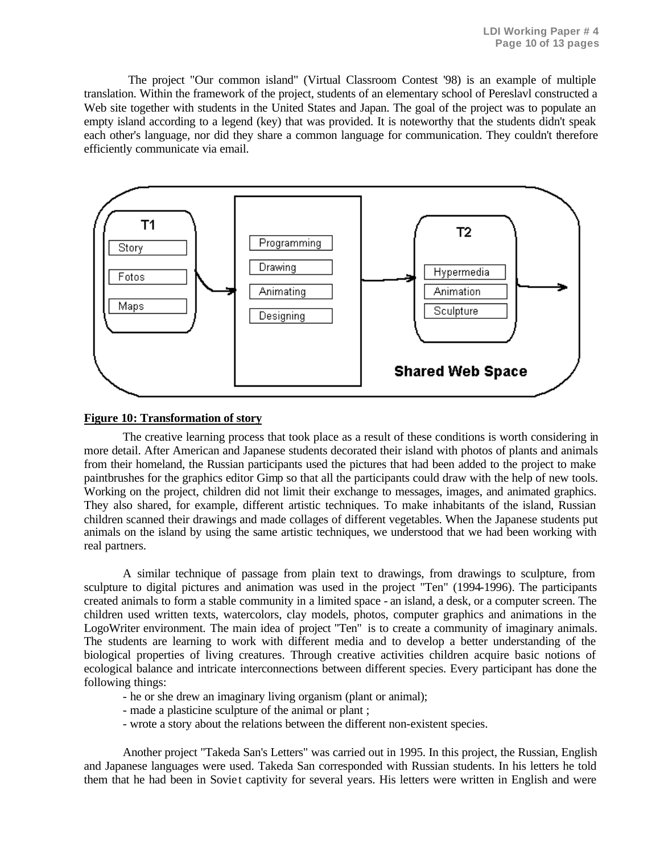The project "Our common island" (Virtual Classroom Contest '98) is an example of multiple translation. Within the framework of the project, students of an elementary school of Pereslavl constructed a Web site together with students in the United States and Japan. The goal of the project was to populate an empty island according to a legend (key) that was provided. It is noteworthy that the students didn't speak each other's language, nor did they share a common language for communication. They couldn't therefore efficiently communicate via email.



## **Figure 10: Transformation of story**

The creative learning process that took place as a result of these conditions is worth considering in more detail. After American and Japanese students decorated their island with photos of plants and animals from their homeland, the Russian participants used the pictures that had been added to the project to make paintbrushes for the graphics editor Gimp so that all the participants could draw with the help of new tools. Working on the project, children did not limit their exchange to messages, images, and animated graphics. They also shared, for example, different artistic techniques. To make inhabitants of the island, Russian children scanned their drawings and made collages of different vegetables. When the Japanese students put animals on the island by using the same artistic techniques, we understood that we had been working with real partners.

A similar technique of passage from plain text to drawings, from drawings to sculpture, from sculpture to digital pictures and animation was used in the project "Ten" (1994-1996). The participants created animals to form a stable community in a limited space - an island, a desk, or a computer screen. The children used written texts, watercolors, clay models, photos, computer graphics and animations in the LogoWriter environment. The main idea of project "Ten" is to create a community of imaginary animals. The students are learning to work with different media and to develop a better understanding of the biological properties of living creatures. Through creative activities children acquire basic notions of ecological balance and intricate interconnections between different species. Every participant has done the following things:

- he or she drew an imaginary living organism (plant or animal);
- made a plasticine sculpture of the animal or plant ;
- wrote a story about the relations between the different non-existent species.

Another project "Takeda San's Letters" was carried out in 1995. In this project, the Russian, English and Japanese languages were used. Takeda San corresponded with Russian students. In his letters he told them that he had been in Soviet captivity for several years. His letters were written in English and were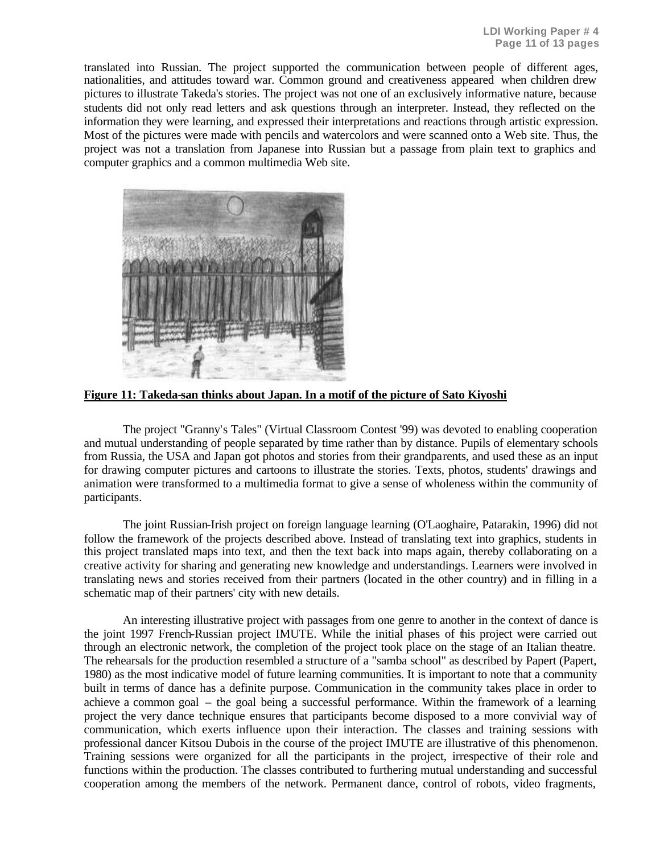translated into Russian. The project supported the communication between people of different ages, nationalities, and attitudes toward war. Common ground and creativeness appeared when children drew pictures to illustrate Takeda's stories. The project was not one of an exclusively informative nature, because students did not only read letters and ask questions through an interpreter. Instead, they reflected on the information they were learning, and expressed their interpretations and reactions through artistic expression. Most of the pictures were made with pencils and watercolors and were scanned onto a Web site. Thus, the project was not a translation from Japanese into Russian but a passage from plain text to graphics and computer graphics and a common multimedia Web site.



**Figure 11: Takeda-san thinks about Japan. In a motif of the picture of Sato Kiyoshi**

The project "Granny's Tales" (Virtual Classroom Contest '99) was devoted to enabling cooperation and mutual understanding of people separated by time rather than by distance. Pupils of elementary schools from Russia, the USA and Japan got photos and stories from their grandparents, and used these as an input for drawing computer pictures and cartoons to illustrate the stories. Texts, photos, students' drawings and animation were transformed to a multimedia format to give a sense of wholeness within the community of participants.

The joint Russian-Irish project on foreign language learning (O'Laoghaire, Patarakin, 1996) did not follow the framework of the projects described above. Instead of translating text into graphics, students in this project translated maps into text, and then the text back into maps again, thereby collaborating on a creative activity for sharing and generating new knowledge and understandings. Learners were involved in translating news and stories received from their partners (located in the other country) and in filling in a schematic map of their partners' city with new details.

An interesting illustrative project with passages from one genre to another in the context of dance is the joint 1997 French-Russian project IMUTE. While the initial phases of this project were carried out through an electronic network, the completion of the project took place on the stage of an Italian theatre. The rehearsals for the production resembled a structure of a "samba school" as described by Papert (Papert, 1980) as the most indicative model of future learning communities. It is important to note that a community built in terms of dance has a definite purpose. Communication in the community takes place in order to achieve a common goal – the goal being a successful performance. Within the framework of a learning project the very dance technique ensures that participants become disposed to a more convivial way of communication, which exerts influence upon their interaction. The classes and training sessions with professional dancer Kitsou Dubois in the course of the project IMUTE are illustrative of this phenomenon. Training sessions were organized for all the participants in the project, irrespective of their role and functions within the production. The classes contributed to furthering mutual understanding and successful cooperation among the members of the network. Permanent dance, control of robots, video fragments,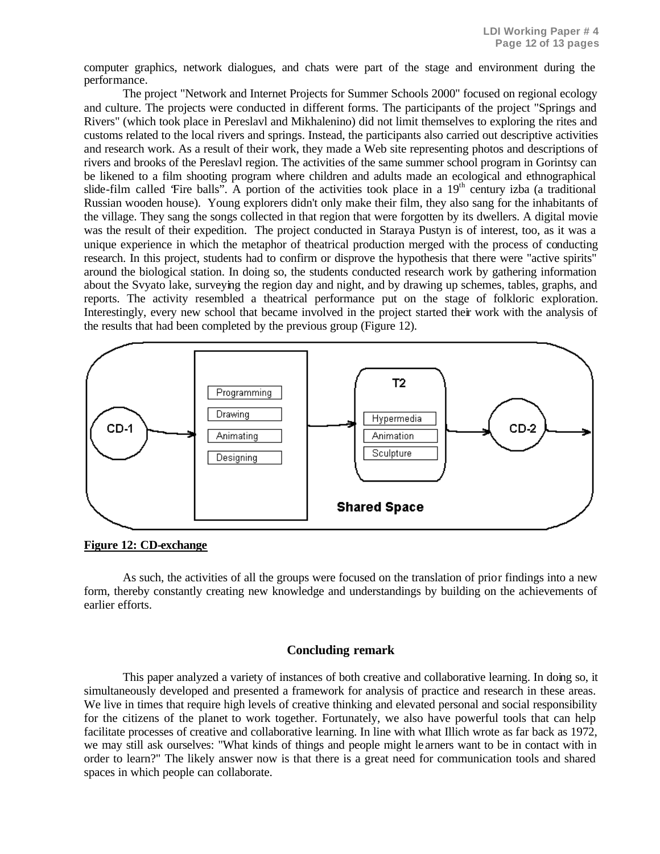computer graphics, network dialogues, and chats were part of the stage and environment during the performance.

The project "Network and Internet Projects for Summer Schools 2000" focused on regional ecology and culture. The projects were conducted in different forms. The participants of the project "Springs and Rivers" (which took place in Pereslavl and Mikhalenino) did not limit themselves to exploring the rites and customs related to the local rivers and springs. Instead, the participants also carried out descriptive activities and research work. As a result of their work, they made a Web site representing photos and descriptions of rivers and brooks of the Pereslavl region. The activities of the same summer school program in Gorintsy can be likened to a film shooting program where children and adults made an ecological and ethnographical slide-film called 'Fire balls'. A portion of the activities took place in a  $19<sup>th</sup>$  century izba (a traditional Russian wooden house). Young explorers didn't only make their film, they also sang for the inhabitants of the village. They sang the songs collected in that region that were forgotten by its dwellers. A digital movie was the result of their expedition. The project conducted in Staraya Pustyn is of interest, too, as it was a unique experience in which the metaphor of theatrical production merged with the process of conducting research. In this project, students had to confirm or disprove the hypothesis that there were "active spirits" around the biological station. In doing so, the students conducted research work by gathering information about the Svyato lake, surveying the region day and night, and by drawing up schemes, tables, graphs, and reports. The activity resembled a theatrical performance put on the stage of folkloric exploration. Interestingly, every new school that became involved in the project started their work with the analysis of the results that had been completed by the previous group (Figure 12).



**Figure 12: CD-exchange**

As such, the activities of all the groups were focused on the translation of prior findings into a new form, thereby constantly creating new knowledge and understandings by building on the achievements of earlier efforts.

## **Concluding remark**

This paper analyzed a variety of instances of both creative and collaborative learning. In doing so, it simultaneously developed and presented a framework for analysis of practice and research in these areas. We live in times that require high levels of creative thinking and elevated personal and social responsibility for the citizens of the planet to work together. Fortunately, we also have powerful tools that can help facilitate processes of creative and collaborative learning. In line with what Illich wrote as far back as 1972, we may still ask ourselves: "What kinds of things and people might le arners want to be in contact with in order to learn?" The likely answer now is that there is a great need for communication tools and shared spaces in which people can collaborate.